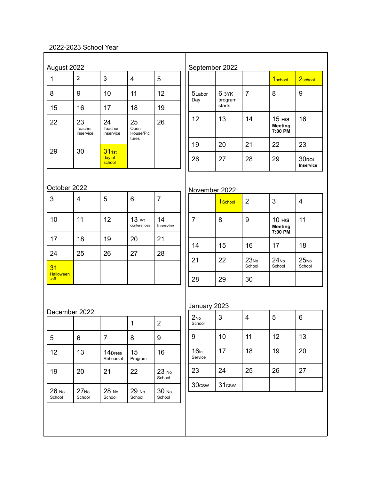## 2022-2023 School Year

| $\mathbf{1}$           | $\overline{2}$             | 3                          | $\overline{4}$                   | 5               |                             |                            |                  | 1 <sub>school</sub>                 | 2school                        |
|------------------------|----------------------------|----------------------------|----------------------------------|-----------------|-----------------------------|----------------------------|------------------|-------------------------------------|--------------------------------|
| 8                      | 9                          | 10                         | 11                               | 12              | 5Labor<br>Day               | 6 3YK<br>program<br>starts | $\overline{7}$   | 8                                   | $\boldsymbol{9}$               |
| 15                     | 16                         | 17                         | 18                               | 19              |                             |                            |                  |                                     |                                |
| 22                     | 23<br>Teacher<br>inservice | 24<br>Teacher<br>inservice | 25<br>Open<br>House/Pic<br>tures | 26              | 12                          | 13                         | 14               | 15 H/S<br><b>Meeting</b><br>7:00 PM | 16                             |
| 29                     | 30                         | $31$ <sub>1st</sub>        |                                  |                 | 19                          | 20                         | 21               | 22                                  | 23                             |
|                        |                            | day of<br>school           |                                  |                 | 26                          | 27                         | 28               | 29                                  | 30 <sub>DOL</sub><br>Inservice |
| October 2022           |                            |                            |                                  |                 |                             |                            |                  |                                     |                                |
| 3                      | 4                          | 5                          | 6                                | $\overline{7}$  | November 2022               | 1 <sub>School</sub>        | $\overline{2}$   | 3                                   | 4                              |
|                        |                            |                            |                                  |                 |                             |                            |                  |                                     |                                |
| 10                     | 11                         | 12                         | 13 P/T<br>conferences            | 14<br>Inservice | $\overline{7}$              | 8                          | 9                | 10 H/S<br><b>Meeting</b><br>7:00 PM | 11                             |
| 17                     | 18                         | 19                         | 20                               | 21              | 14                          | 15                         | 16               | 17                                  | 18                             |
| 24                     | 25                         | 26                         | 27                               | 28              | 21                          | 22                         | 23N <sub>0</sub> | 24N <sub>0</sub>                    | 25N <sub>0</sub>               |
| 31<br><b>Halloween</b> |                            |                            |                                  |                 |                             |                            | School           | School                              | School                         |
| -off                   |                            |                            |                                  |                 | 28                          | 29                         | 30               |                                     |                                |
|                        |                            |                            |                                  |                 | January 2023                |                            |                  |                                     |                                |
| December 2022          |                            |                            |                                  |                 | 2N <sub>0</sub>             | 3                          | $\overline{4}$   | 5                                   | 6                              |
|                        |                            |                            | $\mathbf 1$                      | $\overline{2}$  | School                      |                            |                  |                                     |                                |
| 5                      | 6                          | $\overline{7}$             | 8                                | 9               | 9                           | 10                         | 11               | 12                                  | 13                             |
| 12                     | 13                         | 14Dress<br>Rehearsal       | 15<br>Program                    | 16              | 16 <sub>ln</sub><br>Service | 17                         | 18               | 19                                  | 20                             |
| 19                     | 20                         | 21                         | 22                               | 23 No<br>School | 23                          | 24                         | 25               | 26                                  | 27                             |
|                        |                            |                            |                                  | 30 мо           | 30csw                       | 31 <sub>csw</sub>          |                  |                                     |                                |

 $\overline{1}$